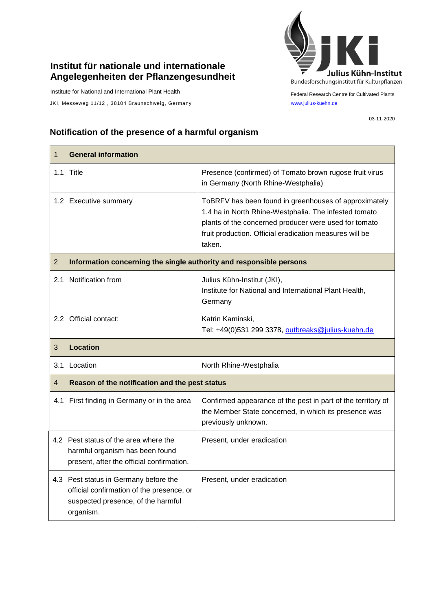## **Institut für nationale und internationale Angelegenheiten der Pflanzengesundheit**

Institute for National and International Plant Health

JKI, Messeweg 11/12, 38104 Braunschweig, Germany [www.julius-kuehn.de](http://www.julius-kuehn.de/)



Federal Research Centre for Cultivated Plants

03-11-2020

## **Notification of the presence of a harmful organism**

| 1              | <b>General information</b>                                                                                            |                                                                                                                                                                                                                                              |  |
|----------------|-----------------------------------------------------------------------------------------------------------------------|----------------------------------------------------------------------------------------------------------------------------------------------------------------------------------------------------------------------------------------------|--|
| 1.1            | Title                                                                                                                 | Presence (confirmed) of Tomato brown rugose fruit virus<br>in Germany (North Rhine-Westphalia)                                                                                                                                               |  |
|                | 1.2 Executive summary                                                                                                 | ToBRFV has been found in greenhouses of approximately<br>1.4 ha in North Rhine-Westphalia. The infested tomato<br>plants of the concerned producer were used for tomato<br>fruit production. Official eradication measures will be<br>taken. |  |
| $\overline{2}$ | Information concerning the single authority and responsible persons                                                   |                                                                                                                                                                                                                                              |  |
| 2.1            | Notification from                                                                                                     | Julius Kühn-Institut (JKI),<br>Institute for National and International Plant Health,<br>Germany                                                                                                                                             |  |
|                | 2.2 Official contact:                                                                                                 | Katrin Kaminski,<br>Tel: +49(0)531 299 3378, outbreaks@julius-kuehn.de                                                                                                                                                                       |  |
|                | <b>Location</b>                                                                                                       |                                                                                                                                                                                                                                              |  |
| 3              |                                                                                                                       |                                                                                                                                                                                                                                              |  |
| 3.1            | Location                                                                                                              | North Rhine-Westphalia                                                                                                                                                                                                                       |  |
| 4              | Reason of the notification and the pest status                                                                        |                                                                                                                                                                                                                                              |  |
| 4.1            | First finding in Germany or in the area                                                                               | Confirmed appearance of the pest in part of the territory of<br>the Member State concerned, in which its presence was<br>previously unknown.                                                                                                 |  |
|                | 4.2 Pest status of the area where the<br>harmful organism has been found<br>present, after the official confirmation. | Present, under eradication                                                                                                                                                                                                                   |  |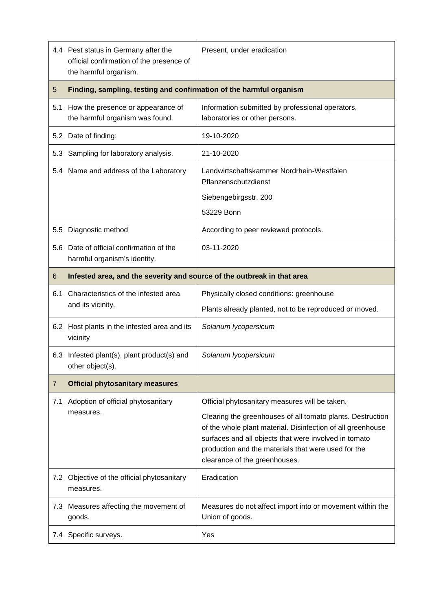|     | 4.4 Pest status in Germany after the<br>official confirmation of the presence of<br>the harmful organism. | Present, under eradication                                                                                                                                                                                                                                                 |  |
|-----|-----------------------------------------------------------------------------------------------------------|----------------------------------------------------------------------------------------------------------------------------------------------------------------------------------------------------------------------------------------------------------------------------|--|
| 5   | Finding, sampling, testing and confirmation of the harmful organism                                       |                                                                                                                                                                                                                                                                            |  |
|     | 5.1 How the presence or appearance of<br>the harmful organism was found.                                  | Information submitted by professional operators,<br>laboratories or other persons.                                                                                                                                                                                         |  |
|     | 5.2 Date of finding:                                                                                      | 19-10-2020                                                                                                                                                                                                                                                                 |  |
|     | 5.3 Sampling for laboratory analysis.                                                                     | 21-10-2020                                                                                                                                                                                                                                                                 |  |
|     | 5.4 Name and address of the Laboratory                                                                    | Landwirtschaftskammer Nordrhein-Westfalen<br>Pflanzenschutzdienst                                                                                                                                                                                                          |  |
|     |                                                                                                           | Siebengebirgsstr. 200                                                                                                                                                                                                                                                      |  |
|     |                                                                                                           | 53229 Bonn                                                                                                                                                                                                                                                                 |  |
|     | 5.5 Diagnostic method                                                                                     | According to peer reviewed protocols.                                                                                                                                                                                                                                      |  |
|     | 5.6 Date of official confirmation of the<br>harmful organism's identity.                                  | 03-11-2020                                                                                                                                                                                                                                                                 |  |
| 6   | Infested area, and the severity and source of the outbreak in that area                                   |                                                                                                                                                                                                                                                                            |  |
| 6.1 | Characteristics of the infested area<br>and its vicinity.                                                 | Physically closed conditions: greenhouse                                                                                                                                                                                                                                   |  |
|     |                                                                                                           | Plants already planted, not to be reproduced or moved.                                                                                                                                                                                                                     |  |
|     | 6.2 Host plants in the infested area and its<br>vicinity                                                  | Solanum lycopersicum                                                                                                                                                                                                                                                       |  |
|     | 6.3 Infested plant(s), plant product(s) and<br>other object(s).                                           | Solanum lycopersicum                                                                                                                                                                                                                                                       |  |
| 7   | <b>Official phytosanitary measures</b>                                                                    |                                                                                                                                                                                                                                                                            |  |
| 7.1 | Adoption of official phytosanitary<br>measures.                                                           | Official phytosanitary measures will be taken.                                                                                                                                                                                                                             |  |
|     |                                                                                                           | Clearing the greenhouses of all tomato plants. Destruction<br>of the whole plant material. Disinfection of all greenhouse<br>surfaces and all objects that were involved in tomato<br>production and the materials that were used for the<br>clearance of the greenhouses. |  |
|     | 7.2 Objective of the official phytosanitary<br>measures.                                                  | Eradication                                                                                                                                                                                                                                                                |  |
|     | 7.3 Measures affecting the movement of<br>goods.                                                          | Measures do not affect import into or movement within the<br>Union of goods.                                                                                                                                                                                               |  |
|     | 7.4 Specific surveys.                                                                                     | Yes                                                                                                                                                                                                                                                                        |  |